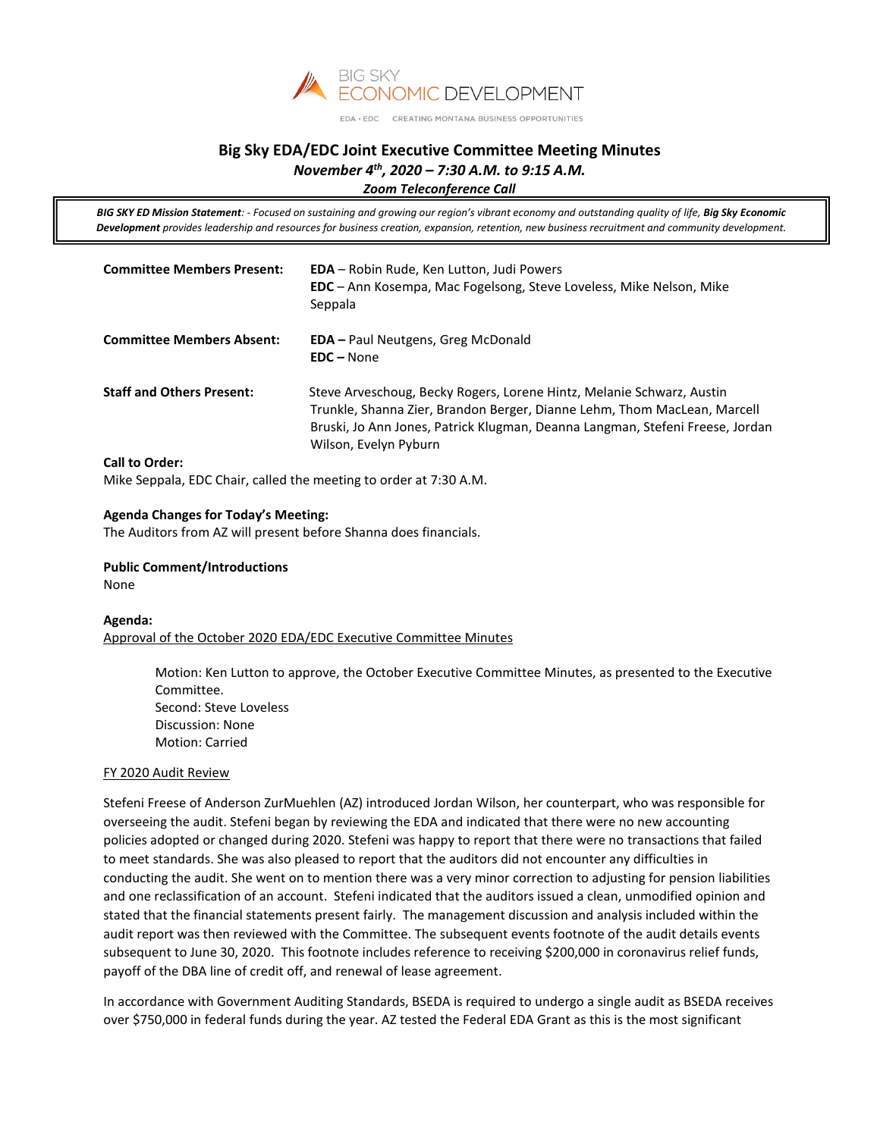

EDA · EDC CREATING MONTANA BUSINESS OPPORTUNITIES

# **Big Sky EDA/EDC Joint Executive Committee Meeting Minutes** *November 4th, 2020 – 7:30 A.M. to 9:15 A.M.*

*Zoom Teleconference Call*

*BIG SKY ED Mission Statement: - Focused on sustaining and growing our region's vibrant economy and outstanding quality of life, Big Sky Economic Development provides leadership and resources for business creation, expansion, retention, new business recruitment and community development.*

| <b>Committee Members Present:</b> | <b>EDA</b> – Robin Rude, Ken Lutton, Judi Powers<br><b>EDC</b> – Ann Kosempa, Mac Fogelsong, Steve Loveless, Mike Nelson, Mike<br>Seppala                                                                                                                   |
|-----------------------------------|-------------------------------------------------------------------------------------------------------------------------------------------------------------------------------------------------------------------------------------------------------------|
| <b>Committee Members Absent:</b>  | <b>EDA</b> – Paul Neutgens, Greg McDonald<br>$EDC - None$                                                                                                                                                                                                   |
| <b>Staff and Others Present:</b>  | Steve Arveschoug, Becky Rogers, Lorene Hintz, Melanie Schwarz, Austin<br>Trunkle, Shanna Zier, Brandon Berger, Dianne Lehm, Thom MacLean, Marcell<br>Bruski, Jo Ann Jones, Patrick Klugman, Deanna Langman, Stefeni Freese, Jordan<br>Wilson, Evelyn Pyburn |
| <b>Call to Order:</b>             |                                                                                                                                                                                                                                                             |

Mike Seppala, EDC Chair, called the meeting to order at 7:30 A.M.

# **Agenda Changes for Today's Meeting:**

The Auditors from AZ will present before Shanna does financials.

**Public Comment/Introductions**  None

#### **Agenda:**

Approval of the October 2020 EDA/EDC Executive Committee Minutes

Motion: Ken Lutton to approve, the October Executive Committee Minutes, as presented to the Executive Committee. Second: Steve Loveless Discussion: None Motion: Carried

#### FY 2020 Audit Review

Stefeni Freese of Anderson ZurMuehlen (AZ) introduced Jordan Wilson, her counterpart, who was responsible for overseeing the audit. Stefeni began by reviewing the EDA and indicated that there were no new accounting policies adopted or changed during 2020. Stefeni was happy to report that there were no transactions that failed to meet standards. She was also pleased to report that the auditors did not encounter any difficulties in conducting the audit. She went on to mention there was a very minor correction to adjusting for pension liabilities and one reclassification of an account. Stefeni indicated that the auditors issued a clean, unmodified opinion and stated that the financial statements present fairly. The management discussion and analysis included within the audit report was then reviewed with the Committee. The subsequent events footnote of the audit details events subsequent to June 30, 2020. This footnote includes reference to receiving \$200,000 in coronavirus relief funds, payoff of the DBA line of credit off, and renewal of lease agreement.

In accordance with Government Auditing Standards, BSEDA is required to undergo a single audit as BSEDA receives over \$750,000 in federal funds during the year. AZ tested the Federal EDA Grant as this is the most significant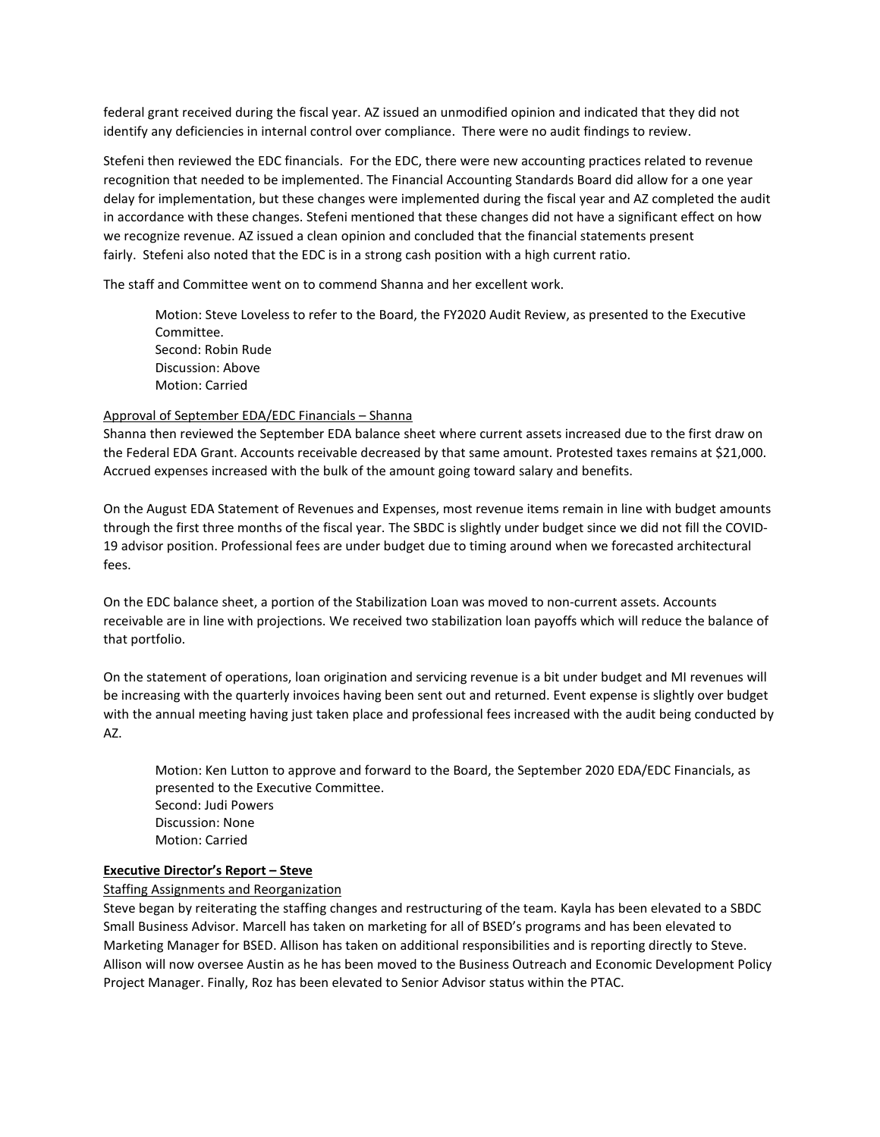federal grant received during the fiscal year. AZ issued an unmodified opinion and indicated that they did not identify any deficiencies in internal control over compliance. There were no audit findings to review.

Stefeni then reviewed the EDC financials. For the EDC, there were new accounting practices related to revenue recognition that needed to be implemented. The Financial Accounting Standards Board did allow for a one year delay for implementation, but these changes were implemented during the fiscal year and AZ completed the audit in accordance with these changes. Stefeni mentioned that these changes did not have a significant effect on how we recognize revenue. AZ issued a clean opinion and concluded that the financial statements present fairly. Stefeni also noted that the EDC is in a strong cash position with a high current ratio.

The staff and Committee went on to commend Shanna and her excellent work.

Motion: Steve Loveless to refer to the Board, the FY2020 Audit Review, as presented to the Executive Committee. Second: Robin Rude Discussion: Above Motion: Carried

# Approval of September EDA/EDC Financials – Shanna

Shanna then reviewed the September EDA balance sheet where current assets increased due to the first draw on the Federal EDA Grant. Accounts receivable decreased by that same amount. Protested taxes remains at \$21,000. Accrued expenses increased with the bulk of the amount going toward salary and benefits.

On the August EDA Statement of Revenues and Expenses, most revenue items remain in line with budget amounts through the first three months of the fiscal year. The SBDC is slightly under budget since we did not fill the COVID-19 advisor position. Professional fees are under budget due to timing around when we forecasted architectural fees.

On the EDC balance sheet, a portion of the Stabilization Loan was moved to non-current assets. Accounts receivable are in line with projections. We received two stabilization loan payoffs which will reduce the balance of that portfolio.

On the statement of operations, loan origination and servicing revenue is a bit under budget and MI revenues will be increasing with the quarterly invoices having been sent out and returned. Event expense is slightly over budget with the annual meeting having just taken place and professional fees increased with the audit being conducted by AZ.

Motion: Ken Lutton to approve and forward to the Board, the September 2020 EDA/EDC Financials, as presented to the Executive Committee. Second: Judi Powers Discussion: None Motion: Carried

#### **Executive Director's Report – Steve**

# Staffing Assignments and Reorganization

Steve began by reiterating the staffing changes and restructuring of the team. Kayla has been elevated to a SBDC Small Business Advisor. Marcell has taken on marketing for all of BSED's programs and has been elevated to Marketing Manager for BSED. Allison has taken on additional responsibilities and is reporting directly to Steve. Allison will now oversee Austin as he has been moved to the Business Outreach and Economic Development Policy Project Manager. Finally, Roz has been elevated to Senior Advisor status within the PTAC.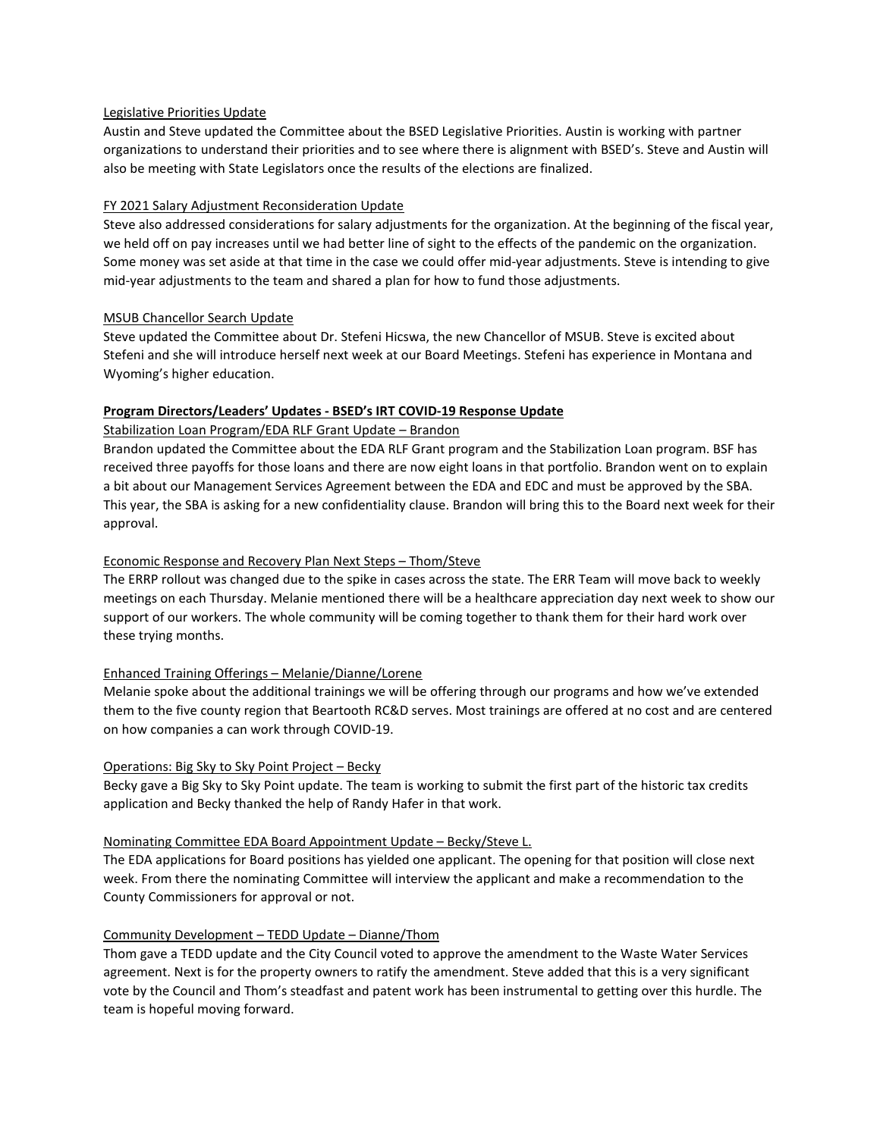# Legislative Priorities Update

Austin and Steve updated the Committee about the BSED Legislative Priorities. Austin is working with partner organizations to understand their priorities and to see where there is alignment with BSED's. Steve and Austin will also be meeting with State Legislators once the results of the elections are finalized.

# FY 2021 Salary Adjustment Reconsideration Update

Steve also addressed considerations for salary adjustments for the organization. At the beginning of the fiscal year, we held off on pay increases until we had better line of sight to the effects of the pandemic on the organization. Some money was set aside at that time in the case we could offer mid-year adjustments. Steve is intending to give mid-year adjustments to the team and shared a plan for how to fund those adjustments.

# MSUB Chancellor Search Update

Steve updated the Committee about Dr. Stefeni Hicswa, the new Chancellor of MSUB. Steve is excited about Stefeni and she will introduce herself next week at our Board Meetings. Stefeni has experience in Montana and Wyoming's higher education.

# **Program Directors/Leaders' Updates - BSED's IRT COVID-19 Response Update**

# Stabilization Loan Program/EDA RLF Grant Update – Brandon

Brandon updated the Committee about the EDA RLF Grant program and the Stabilization Loan program. BSF has received three payoffs for those loans and there are now eight loans in that portfolio. Brandon went on to explain a bit about our Management Services Agreement between the EDA and EDC and must be approved by the SBA. This year, the SBA is asking for a new confidentiality clause. Brandon will bring this to the Board next week for their approval.

# Economic Response and Recovery Plan Next Steps – Thom/Steve

The ERRP rollout was changed due to the spike in cases across the state. The ERR Team will move back to weekly meetings on each Thursday. Melanie mentioned there will be a healthcare appreciation day next week to show our support of our workers. The whole community will be coming together to thank them for their hard work over these trying months.

# Enhanced Training Offerings – Melanie/Dianne/Lorene

Melanie spoke about the additional trainings we will be offering through our programs and how we've extended them to the five county region that Beartooth RC&D serves. Most trainings are offered at no cost and are centered on how companies a can work through COVID-19.

#### Operations: Big Sky to Sky Point Project – Becky

Becky gave a Big Sky to Sky Point update. The team is working to submit the first part of the historic tax credits application and Becky thanked the help of Randy Hafer in that work.

#### Nominating Committee EDA Board Appointment Update – Becky/Steve L.

The EDA applications for Board positions has yielded one applicant. The opening for that position will close next week. From there the nominating Committee will interview the applicant and make a recommendation to the County Commissioners for approval or not.

#### Community Development – TEDD Update – Dianne/Thom

Thom gave a TEDD update and the City Council voted to approve the amendment to the Waste Water Services agreement. Next is for the property owners to ratify the amendment. Steve added that this is a very significant vote by the Council and Thom's steadfast and patent work has been instrumental to getting over this hurdle. The team is hopeful moving forward.